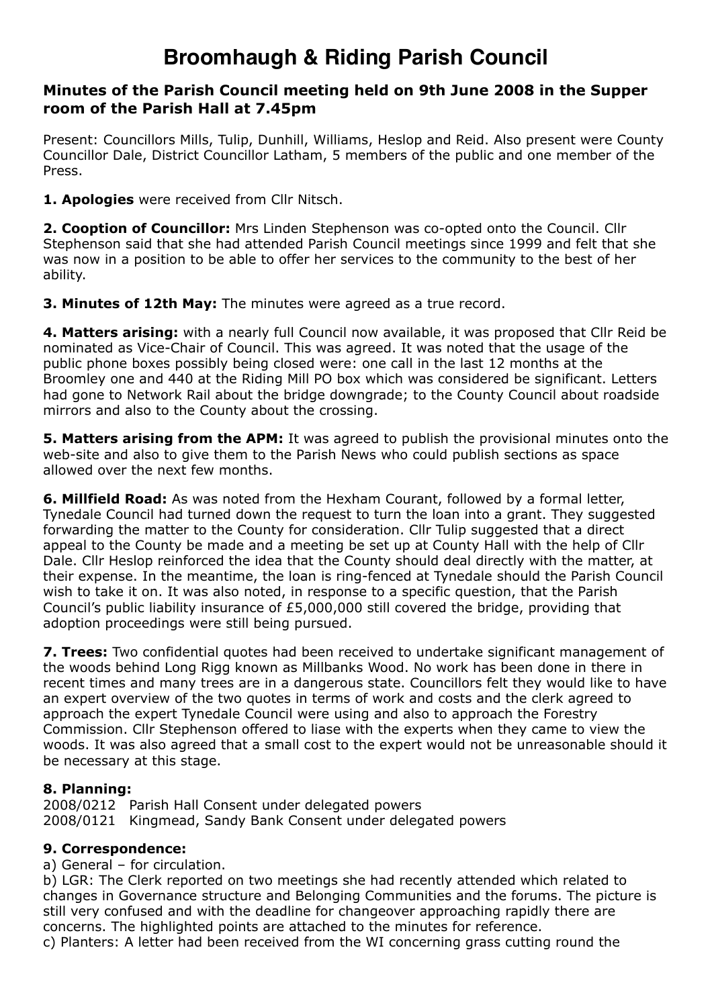# **Broomhaugh & Riding Parish Council**

## **Minutes of the Parish Council meeting held on 9th June 2008 in the Supper room of the Parish Hall at 7.45pm**

Present: Councillors Mills, Tulip, Dunhill, Williams, Heslop and Reid. Also present were County Councillor Dale, District Councillor Latham, 5 members of the public and one member of the Press.

**1. Apologies** were received from Cllr Nitsch.

**2. Cooption of Councillor:** Mrs Linden Stephenson was co-opted onto the Council. Cllr Stephenson said that she had attended Parish Council meetings since 1999 and felt that she was now in a position to be able to offer her services to the community to the best of her ability.

**3. Minutes of 12th May:** The minutes were agreed as a true record.

**4. Matters arising:** with a nearly full Council now available, it was proposed that Cllr Reid be nominated as Vice-Chair of Council. This was agreed. It was noted that the usage of the public phone boxes possibly being closed were: one call in the last 12 months at the Broomley one and 440 at the Riding Mill PO box which was considered be significant. Letters had gone to Network Rail about the bridge downgrade; to the County Council about roadside mirrors and also to the County about the crossing.

**5. Matters arising from the APM:** It was agreed to publish the provisional minutes onto the web-site and also to give them to the Parish News who could publish sections as space allowed over the next few months.

**6. Millfield Road:** As was noted from the Hexham Courant, followed by a formal letter, Tynedale Council had turned down the request to turn the loan into a grant. They suggested forwarding the matter to the County for consideration. Cllr Tulip suggested that a direct appeal to the County be made and a meeting be set up at County Hall with the help of Cllr Dale. Cllr Heslop reinforced the idea that the County should deal directly with the matter, at their expense. In the meantime, the loan is ring-fenced at Tynedale should the Parish Council wish to take it on. It was also noted, in response to a specific question, that the Parish Council's public liability insurance of £5,000,000 still covered the bridge, providing that adoption proceedings were still being pursued.

**7. Trees:** Two confidential quotes had been received to undertake significant management of the woods behind Long Rigg known as Millbanks Wood. No work has been done in there in recent times and many trees are in a dangerous state. Councillors felt they would like to have an expert overview of the two quotes in terms of work and costs and the clerk agreed to approach the expert Tynedale Council were using and also to approach the Forestry Commission. Cllr Stephenson offered to liase with the experts when they came to view the woods. It was also agreed that a small cost to the expert would not be unreasonable should it be necessary at this stage.

## **8. Planning:**

2008/0212 Parish Hall Consent under delegated powers 2008/0121 Kingmead, Sandy Bank Consent under delegated powers

#### **9. Correspondence:**

a) General – for circulation.

b) LGR: The Clerk reported on two meetings she had recently attended which related to changes in Governance structure and Belonging Communities and the forums. The picture is still very confused and with the deadline for changeover approaching rapidly there are concerns. The highlighted points are attached to the minutes for reference.

c) Planters: A letter had been received from the WI concerning grass cutting round the